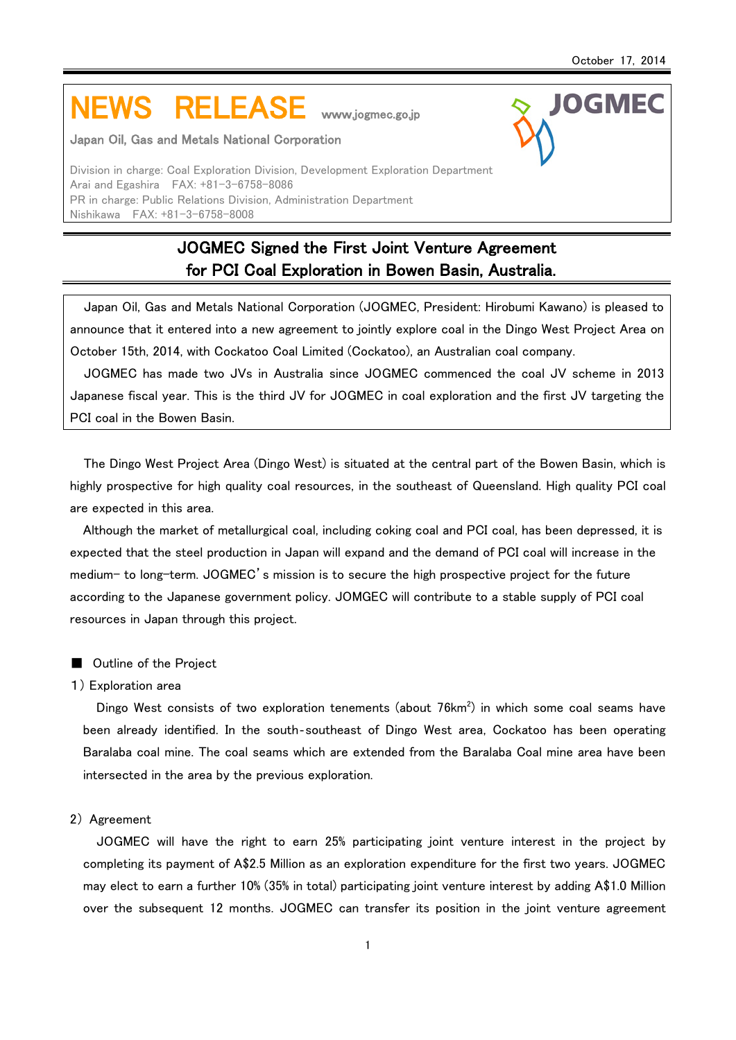**IOGMFC** 

# NEWS RELEASE www.jogmec.go.jp

#### Japan Oil, Gas and Metals National Corporation

Division in charge: Coal Exploration Division, Development Exploration Department Arai and Egashira FAX: +81-3-6758-8086 PR in charge: Public Relations Division, Administration Department Nishikawa FAX: +81-3-6758-8008

# JOGMEC Signed the First Joint Venture Agreement for PCI Coal Exploration in Bowen Basin, Australia.

Japan Oil, Gas and Metals National Corporation (JOGMEC, President: Hirobumi Kawano) is pleased to announce that it entered into a new agreement to jointly explore coal in the Dingo West Project Area on October 15th, 2014, with Cockatoo Coal Limited (Cockatoo), an Australian coal company.

JOGMEC has made two JVs in Australia since JOGMEC commenced the coal JV scheme in 2013 Japanese fiscal year. This is the third JV for JOGMEC in coal exploration and the first JV targeting the PCI coal in the Bowen Basin.

The Dingo West Project Area (Dingo West) is situated at the central part of the Bowen Basin, which is highly prospective for high quality coal resources, in the southeast of Queensland. High quality PCI coal are expected in this area.

Although the market of metallurgical coal, including coking coal and PCI coal, has been depressed, it is expected that the steel production in Japan will expand and the demand of PCI coal will increase in the medium- to long-term. JOGMEC's mission is to secure the high prospective project for the future according to the Japanese government policy. JOMGEC will contribute to a stable supply of PCI coal resources in Japan through this project.

# ■ Outline of the Project

#### 1) Exploration area

Dingo West consists of two exploration tenements (about  $76$ km $^2$ ) in which some coal seams have been already identified. In the south‐southeast of Dingo West area, Cockatoo has been operating Baralaba coal mine. The coal seams which are extended from the Baralaba Coal mine area have been intersected in the area by the previous exploration.

## 2) Agreement

JOGMEC will have the right to earn 25% participating joint venture interest in the project by completing its payment of A\$2.5 Million as an exploration expenditure for the first two years. JOGMEC may elect to earn a further 10% (35% in total) participating joint venture interest by adding A\$1.0 Million over the subsequent 12 months. JOGMEC can transfer its position in the joint venture agreement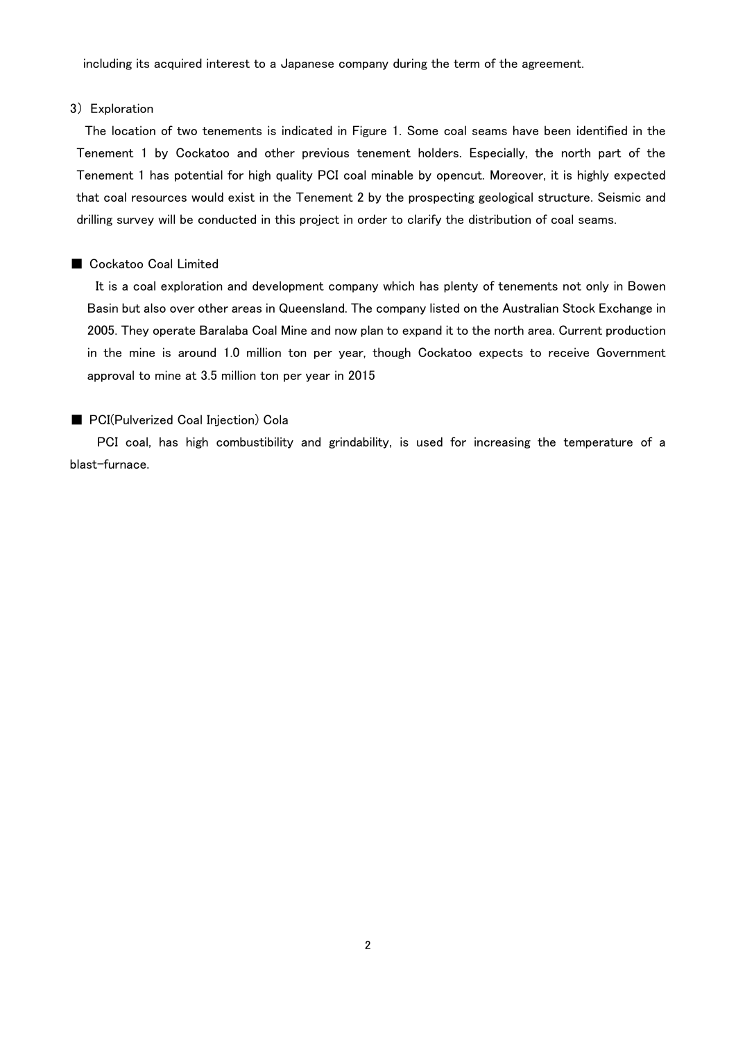including its acquired interest to a Japanese company during the term of the agreement.

#### 3) Exploration

The location of two tenements is indicated in Figure 1. Some coal seams have been identified in the Tenement 1 by Cockatoo and other previous tenement holders. Especially, the north part of the Tenement 1 has potential for high quality PCI coal minable by opencut. Moreover, it is highly expected that coal resources would exist in the Tenement 2 by the prospecting geological structure. Seismic and drilling survey will be conducted in this project in order to clarify the distribution of coal seams.

# ■ Cockatoo Coal Limited

It is a coal exploration and development company which has plenty of tenements not only in Bowen Basin but also over other areas in Queensland. The company listed on the Australian Stock Exchange in 2005. They operate Baralaba Coal Mine and now plan to expand it to the north area. Current production in the mine is around 1.0 million ton per year, though Cockatoo expects to receive Government approval to mine at 3.5 million ton per year in 2015

# ■ PCI(Pulverized Coal Injection) Cola

PCI coal, has high combustibility and grindability, is used for increasing the temperature of a blast-furnace.